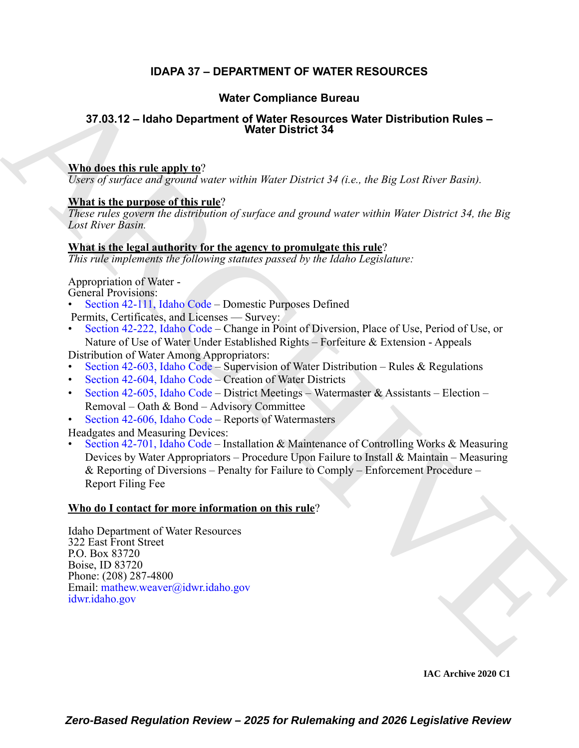## **IDAPA 37 – DEPARTMENT OF WATER RESOURCES**

### **Water Compliance Bureau**

### **37.03.12 – Idaho Department of Water Resources Water Distribution Rules – Water District 34**

### **Who does this rule apply to**?

*Users of surface and ground water within Water District 34 (i.e., the Big Lost River Basin).*

### **What is the purpose of this rule**?

*These rules govern the distribution of surface and ground water within Water District 34, the Big Lost River Basin.*

### **What is the legal authority for the agency to promulgate this rule**?

*This rule implements the following statutes passed by the Idaho Legislature:*

Appropriation of Water -

- General Provisions:
- Section 42-111, Idaho Code Domestic Purposes Defined Permits, Certificates, and Licenses — Survey:
- Section 42-222, Idaho Code Change in Point of Diversion, Place of Use, Period of Use, or
- Nature of Use of Water Under Established Rights Forfeiture & Extension Appeals Distribution of Water Among Appropriators:
- Section 42-603, Idaho Code Supervision of Water Distribution Rules & Regulations
- Section 42-604, Idaho Code Creation of Water Districts
- Section 42-605, Idaho Code District Meetings Watermaster & Assistants Election Removal – Oath & Bond – Advisory Committee
- Section 42-606, Idaho Code Reports of Watermasters

Headgates and Measuring Devices:

**Water Compliance Bureau<br>
37.03.12 - Idaho Dopartment of Water [R](https://legislature.idaho.gov/statutesrules/idstat/Title42/T42CH1/SECT42-111/)esources Water Distribution Ruise<br>
Nine does this rule angly**  $mg^2$ **<br>
Nine does this rule angly**  $mg^2$ **<br>
Nine is the purpose of this rate?<br>
The purpose of this r** • Section 42-701, Idaho Code – Installation & Maintenance of Controlling Works & Measuring Devices by Water Appropriators – Procedure Upon Failure to Install & Maintain – Measuring & Reporting of Diversions – Penalty for Failure to Comply – Enforcement Procedure – Report Filing Fee

### **Who do I contact for more information on this rule**?

Idaho Department of Water Resources 322 East Front Street P.O. Box 83720 Boise, ID 83720 Phone: (208) 287-4800 Email: mathew.weaver@idwr.idaho.gov idwr.idaho.gov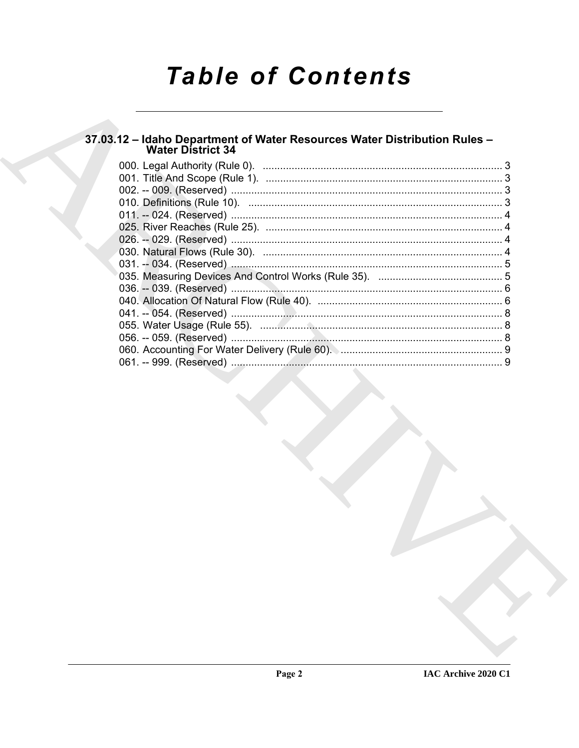# **Table of Contents**

# 37.03.12 - Idaho Department of Water Resources Water Distribution Rules -<br>Water District 34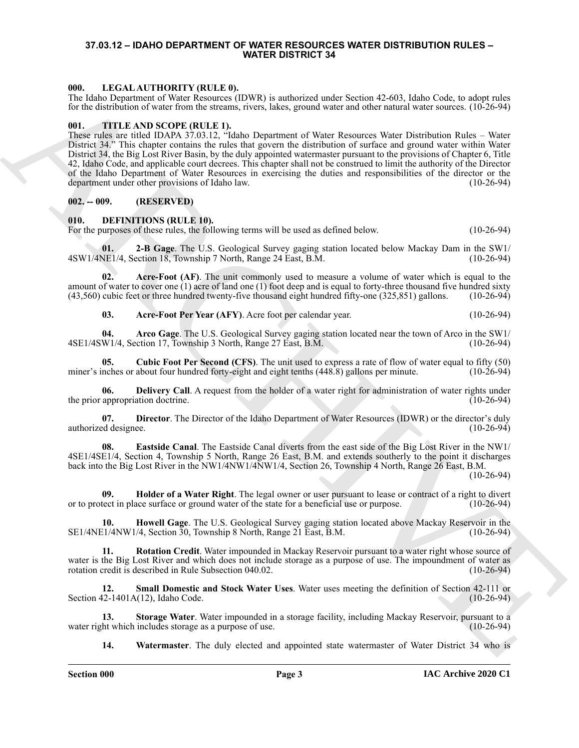### <span id="page-2-0"></span>**37.03.12 – IDAHO DEPARTMENT OF WATER RESOURCES WATER DISTRIBUTION RULES – WATER DISTRICT 34**

### <span id="page-2-20"></span><span id="page-2-1"></span>**000. LEGAL AUTHORITY (RULE 0).**

The Idaho Department of Water Resources (IDWR) is authorized under Section 42-603, Idaho Code, to adopt rules for the distribution of water from the streams, rivers, lakes, ground water and other natural water sources. (10-26-94)

### <span id="page-2-21"></span><span id="page-2-2"></span>**001. TITLE AND SCOPE (RULE 1).**

600. LENGARA THOMBHOT VARILLE AS 1990 (1991), and leads the second scale takes the second and second and second and second and second and second and the second and the second and the second and the second and the second a These rules are titled IDAPA 37.03.12, "Idaho Department of Water Resources Water Distribution Rules – Water District 34." This chapter contains the rules that govern the distribution of surface and ground water within Water District 34, the Big Lost River Basin, by the duly appointed watermaster pursuant to the provisions of Chapter 6, Title 42, Idaho Code, and applicable court decrees. This chapter shall not be construed to limit the authority of the Director of the Idaho Department of Water Resources in exercising the duties and responsibilities of the director or the department under other provisions of Idaho law. (10-26-94) department under other provisions of Idaho law.

### <span id="page-2-3"></span>**002. -- 009. (RESERVED)**

### <span id="page-2-5"></span><span id="page-2-4"></span>**010. DEFINITIONS (RULE 10).**

For the purposes of these rules, the following terms will be used as defined below. (10-26-94)

<span id="page-2-6"></span>**01. 2-B Gage**. The U.S. Geological Survey gaging station located below Mackay Dam in the SW1/ 4SW1/4NE1/4, Section 18, Township 7 North, Range 24 East, B.M.

**02. Acre-Foot (AF)**. The unit commonly used to measure a volume of water which is equal to the amount of water to cover one (1) acre of land one (1) foot deep and is equal to forty-three thousand five hundred sixty (43,560) cubic feet or three hundred twenty-five thousand eight hundred fifty-one (325,851) gallons. (10-26-94)

<span id="page-2-10"></span><span id="page-2-9"></span><span id="page-2-8"></span><span id="page-2-7"></span>**03.** Acre-Foot Per Year (AFY). Acre foot per calendar year. (10-26-94)

**04. Arco Gage**. The U.S. Geological Survey gaging station located near the town of Arco in the SW1/ 4SE1/4SW1/4, Section 17, Township 3 North, Range 27 East, B.M. (10-26-94)

**05. Cubic Foot Per Second (CFS)**. The unit used to express a rate of flow of water equal to fifty (50) miner's inches or about four hundred forty-eight and eight tenths  $(448.8)$  gallons per minute.

<span id="page-2-11"></span>**06.** Delivery Call. A request from the holder of a water right for administration of water rights under appropriation doctrine. (10-26-94) the prior appropriation doctrine.

<span id="page-2-12"></span>**07. Director**. The Director of the Idaho Department of Water Resources (IDWR) or the director's duly authorized designee. (10-26-94)

<span id="page-2-13"></span>**08. Eastside Canal**. The Eastside Canal diverts from the east side of the Big Lost River in the NW1/ 4SE1/4SE1/4, Section 4, Township 5 North, Range 26 East, B.M. and extends southerly to the point it discharges back into the Big Lost River in the NW1/4NW1/4NW1/4, Section 26, Township 4 North, Range 26 East, B.M.

 $(10-26-94)$ 

<span id="page-2-14"></span>**09. Holder of a Water Right**. The legal owner or user pursuant to lease or contract of a right to divert or to protect in place surface or ground water of the state for a beneficial use or purpose. (10-26-94)

<span id="page-2-15"></span>**10. Howell Gage**. The U.S. Geological Survey gaging station located above Mackay Reservoir in the SE1/4NE1/4NW1/4, Section 30, Township 8 North, Range 21 East, B.M. (10-26-94)

<span id="page-2-16"></span>**11. Rotation Credit**. Water impounded in Mackay Reservoir pursuant to a water right whose source of water is the Big Lost River and which does not include storage as a purpose of use. The impoundment of water as rotation credit is described in Rule Subsection 040.02. rotation credit is described in Rule Subsection 040.02.

<span id="page-2-17"></span>**12. Small Domestic and Stock Water Uses**. Water uses meeting the definition of Section 42-111 or Section  $42-1401A(12)$ , Idaho Code.

**13. Storage Water**. Water impounded in a storage facility, including Mackay Reservoir, pursuant to a water right which includes storage as a purpose of use. (10-26-94)

<span id="page-2-19"></span><span id="page-2-18"></span>**14. Watermaster**. The duly elected and appointed state watermaster of Water District 34 who is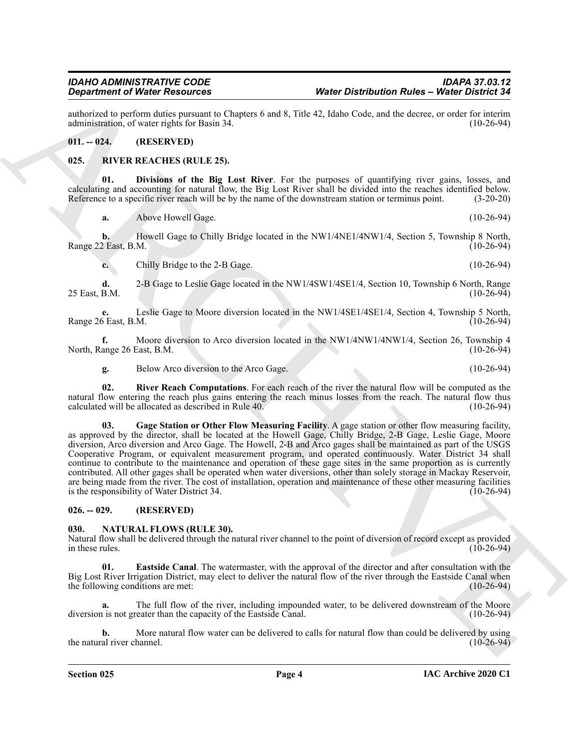authorized to perform duties pursuant to Chapters 6 and 8, Title 42, Idaho Code, and the decree, or order for interim administration, of water rights for Basin 34.

### <span id="page-3-0"></span>**011. -- 024. (RESERVED)**

### <span id="page-3-6"></span><span id="page-3-1"></span>**025. RIVER REACHES (RULE 25).**

**01. Divisions of the Big Lost River**. For the purposes of quantifying river gains, losses, and calculating and accounting for natural flow, the Big Lost River shall be divided into the reaches identified below. Reference to a specific river reach will be by the name of the downstream station or terminus point. (3-20-20)

<span id="page-3-7"></span>**a.** Above Howell Gage. (10-26-94)

**b.** Howell Gage to Chilly Bridge located in the NW1/4NE1/4NW1/4, Section 5, Township 8 North, Range 22 East, B.M. (10-26-94)

**c.** Chilly Bridge to the 2-B Gage. (10-26-94)

**d.** 2-B Gage to Leslie Gage located in the NW1/4SW1/4SE1/4, Section 10, Township 6 North, Range 25 East, B.M.

**e.** Leslie Gage to Moore diversion located in the NW1/4SE1/4SE1/4, Section 4, Township 5 North, Range 26 East, B.M.

**f.** Moore diversion to Arco diversion located in the NW1/4NW1/4NW1/4, Section 26, Township 4 ange 26 East, B.M. (10-26-94) North, Range 26 East, B.M.

<span id="page-3-9"></span><span id="page-3-8"></span>**g.** Below Arco diversion to the Arco Gage. (10-26-94)

**02. River Reach Computations**. For each reach of the river the natural flow will be computed as the natural flow entering the reach plus gains entering the reach minus losses from the reach. The natural flow thus calculated will be allocated as described in Rule 40. (10-26-94)

**Contrast of Water Describes and the United Contrast of the Section Paties - Weise Christmass of the Contrast of the Contrast of the Contrast of the Contrast of the Contrast of the Contrast of the Contrast of the Contrast 03. Gage Station or Other Flow Measuring Facility**. A gage station or other flow measuring facility, as approved by the director, shall be located at the Howell Gage, Chilly Bridge, 2-B Gage, Leslie Gage, Moore diversion, Arco diversion and Arco Gage. The Howell, 2-B and Arco gages shall be maintained as part of the USGS Cooperative Program, or equivalent measurement program, and operated continuously. Water District 34 shall continue to contribute to the maintenance and operation of these gage sites in the same proportion as is currently contributed. All other gages shall be operated when water diversions, other than solely storage in Mackay Reservoir, are being made from the river. The cost of installation, operation and maintenance of these other measuring facilities<br>is the responsibility of Water District 34. is the responsibility of Water District 34.

### <span id="page-3-2"></span>**026. -- 029. (RESERVED)**

### <span id="page-3-4"></span><span id="page-3-3"></span>**030. NATURAL FLOWS (RULE 30).**

Natural flow shall be delivered through the natural river channel to the point of diversion of record except as provided in these rules.  $(10-26-94)$ 

<span id="page-3-5"></span>**01. Eastside Canal**. The watermaster, with the approval of the director and after consultation with the Big Lost River Irrigation District, may elect to deliver the natural flow of the river through the Eastside Canal when the following conditions are met: (10-26-94)

**a.** The full flow of the river, including impounded water, to be delivered downstream of the Moore diversion is not greater than the capacity of the Eastside Canal. (10-26-94)

**b.** More natural flow water can be delivered to calls for natural flow than could be delivered by using the natural river channel. (10-26-94)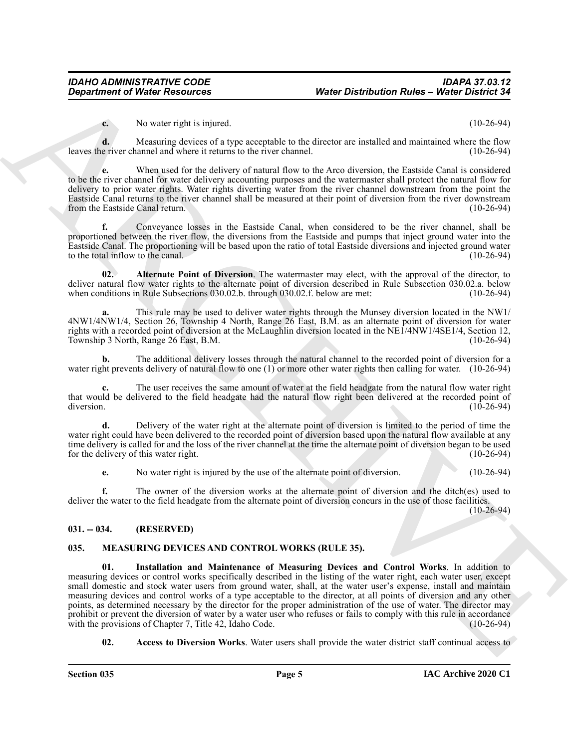**c.** No water right is injured. (10-26-94)

**d.** Measuring devices of a type acceptable to the director are installed and maintained where the flow e river channel and where it returns to the river channel. (10-26-94) leaves the river channel and where it returns to the river channel.

**e.** When used for the delivery of natural flow to the Arco diversion, the Eastside Canal is considered to be the river channel for water delivery accounting purposes and the watermaster shall protect the natural flow for delivery to prior water rights. Water rights diverting water from the river channel downstream from the point the Eastside Canal returns to the river channel shall be measured at their point of diversion from the river downstream from the Eastside Canal return. (10-26-94)

**f.** Conveyance losses in the Eastside Canal, when considered to be the river channel, shall be proportioned between the river flow, the diversions from the Eastside and pumps that inject ground water into the Eastside Canal. The proportioning will be based upon the ratio of total Eastside diversions and injected ground water to the total inflow to the canal.

<span id="page-4-5"></span>**02. Alternate Point of Diversion**. The watermaster may elect, with the approval of the director, to deliver natural flow water rights to the alternate point of diversion described in Rule Subsection 030.02.a. below when conditions in Rule Subsections 030.02.b. through 030.02.f. below are met: (10-26-94)

**a.** This rule may be used to deliver water rights through the Munsey diversion located in the NW1/ 4NW1/4NW1/4, Section 26, Township 4 North, Range 26 East, B.M. as an alternate point of diversion for water rights with a recorded point of diversion at the McLaughlin diversion located in the NE1/4NW1/4SE1/4, Section 12, Township 3 North, Range 26 East, B.M. (10-26-94)

**b.** The additional delivery losses through the natural channel to the recorded point of diversion for a water right prevents delivery of natural flow to one (1) or more other water rights then calling for water. (10-26-94)

**c.** The user receives the same amount of water at the field headgate from the natural flow water right that would be delivered to the field headgate had the natural flow right been delivered at the recorded point of diversion. (10-26-94)  $\mu$  diversion. (10-26-94)

**d.** Delivery of the water right at the alternate point of diversion is limited to the period of time the water right could have been delivered to the recorded point of diversion based upon the natural flow available at any time delivery is called for and the loss of the river channel at the time the alternate point of diversion began to be used<br>for the delivery of this water right. (10-26-94) for the delivery of this water right.

**e.** No water right is injured by the use of the alternate point of diversion. (10-26-94)

**f.** The owner of the diversion works at the alternate point of diversion and the ditch(es) used to deliver the water to the field headgate from the alternate point of diversion concurs in the use of those facilities.

(10-26-94)

### <span id="page-4-0"></span>**031. -- 034. (RESERVED)**

### <span id="page-4-4"></span><span id="page-4-2"></span><span id="page-4-1"></span>**035. MEASURING DEVICES AND CONTROL WORKS (RULE 35).**

*Department of Ninter Research* **Water Distribution Rules - Weight Distribution Rules - Weight Distribution Rules - Weight Distribution Rules - Weight Distribution 11.<br>
Nevertheless the second state with the second stat 01. Installation and Maintenance of Measuring Devices and Control Works**. In addition to measuring devices or control works specifically described in the listing of the water right, each water user, except small domestic and stock water users from ground water, shall, at the water user's expense, install and maintain measuring devices and control works of a type acceptable to the director, at all points of diversion and any other points, as determined necessary by the director for the proper administration of the use of water. The director may prohibit or prevent the diversion of water by a water user who refuses or fails to comply with this rule in accordance<br>with the provisions of Chapter 7, Title 42, Idaho Code. (10-26-94) with the provisions of Chapter 7, Title 42, Idaho Code.

<span id="page-4-3"></span>**02.** Access to Diversion Works. Water users shall provide the water district staff continual access to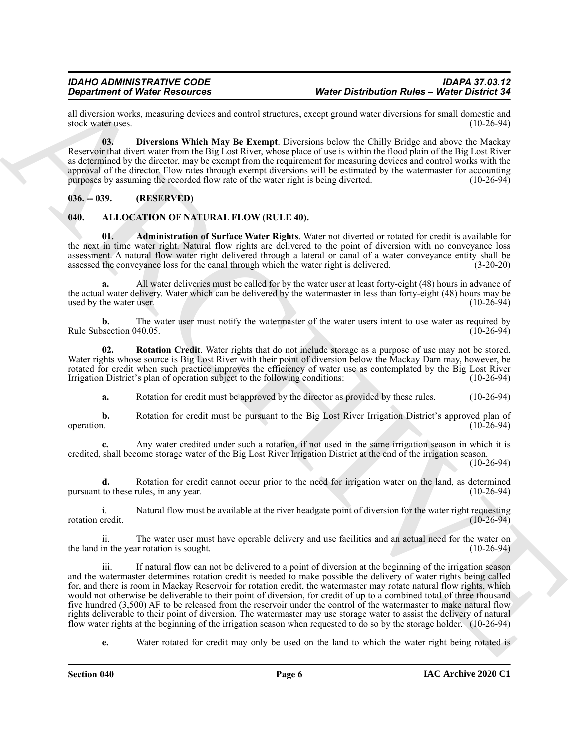all diversion works, measuring devices and control structures, except ground water diversions for small domestic and stock water uses. (10-26-94) stock water uses.

<span id="page-5-5"></span>**03. Diversions Which May Be Exempt**. Diversions below the Chilly Bridge and above the Mackay Reservoir that divert water from the Big Lost River, whose place of use is within the flood plain of the Big Lost River as determined by the director, may be exempt from the requirement for measuring devices and control works with the approval of the director. Flow rates through exempt diversions will be estimated by the watermaster for accounting purposes by assuming the recorded flow rate of the water right is being diverted. (10-26-94)

<span id="page-5-0"></span>**036. -- 039. (RESERVED)**

### <span id="page-5-2"></span><span id="page-5-1"></span>**040. ALLOCATION OF NATURAL FLOW (RULE 40).**

<span id="page-5-3"></span>**01. Administration of Surface Water Rights**. Water not diverted or rotated for credit is available for the next in time water right. Natural flow rights are delivered to the point of diversion with no conveyance loss assessment. A natural flow water right delivered through a lateral or canal of a water conveyance entity shall be assessed the conveyance loss for the canal through which the water right is delivered. (3-20-20) assessed the conveyance loss for the canal through which the water right is delivered.

**a.** All water deliveries must be called for by the water user at least forty-eight (48) hours in advance of the actual water delivery. Water which can be delivered by the watermaster in less than forty-eight (48) hours may be used by the water user. (10-26-94)

**b.** The water user must notify the watermaster of the water users intent to use water as required by Rule Subsection 040.05. (10-26-94)

**02. Rotation Credit**. Water rights that do not include storage as a purpose of use may not be stored. Water rights whose source is Big Lost River with their point of diversion below the Mackay Dam may, however, be rotated for credit when such practice improves the efficiency of water use as contemplated by the Big Lost River Irrigation District's plan of operation subject to the following conditions: (10-26-94)

<span id="page-5-4"></span>**a.** Rotation for credit must be approved by the director as provided by these rules. (10-26-94)

**b.** Rotation for credit must be pursuant to the Big Lost River Irrigation District's approved plan of operation. (10-26-94) operation. (10-26-94)

**c.** Any water credited under such a rotation, if not used in the same irrigation season in which it is credited, shall become storage water of the Big Lost River Irrigation District at the end of the irrigation season.

(10-26-94)

**d.** Rotation for credit cannot occur prior to the need for irrigation water on the land, as determined pursuant to these rules, in any year. (10-26-94)

i. Natural flow must be available at the river headgate point of diversion for the water right requesting credit. rotation credit.

ii. The water user must have operable delivery and use facilities and an actual need for the water on the land in the year rotation is sought. (10-26-94)

**Construction of Nearly Presentation** of Water Distribution Rules - Weild Original and the specific of the specific state of the specific original and the specific original and the specific original and the specific origi iii. If natural flow can not be delivered to a point of diversion at the beginning of the irrigation season and the watermaster determines rotation credit is needed to make possible the delivery of water rights being called for, and there is room in Mackay Reservoir for rotation credit, the watermaster may rotate natural flow rights, which would not otherwise be deliverable to their point of diversion, for credit of up to a combined total of three thousand five hundred (3,500) AF to be released from the reservoir under the control of the watermaster to make natural flow rights deliverable to their point of diversion. The watermaster may use storage water to assist the delivery of natural flow water rights at the beginning of the irrigation season when requested to do so by the storage holder. (10-26-94)

**e.** Water rotated for credit may only be used on the land to which the water right being rotated is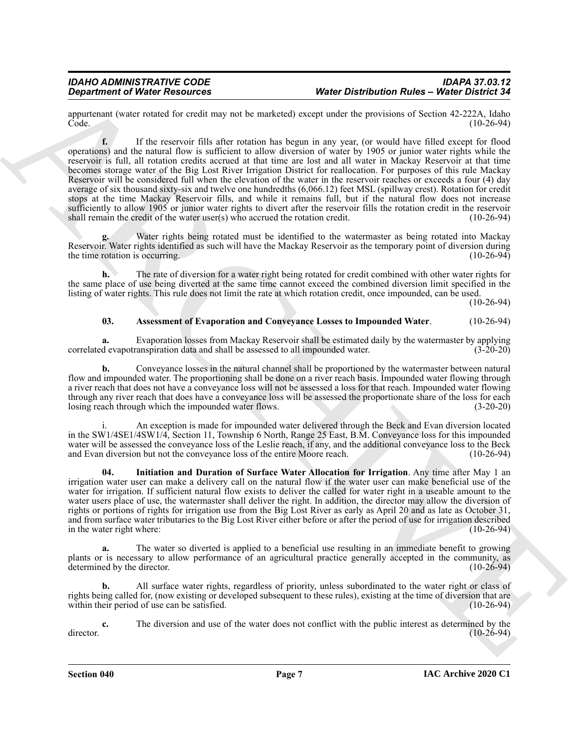appurtenant (water rotated for credit may not be marketed) except under the provisions of Section 42-222A, Idaho Code. (10-26-94)

**Department of Ninter Research 1986 Constructions PMatter Distribution Rules - Weise Distribution Rules - Weise<br>
Construction Construction Rules - Weise Distribution Rules - Weise Distribution Rules - Weise Distribution<br> f.** If the reservoir fills after rotation has begun in any year, (or would have filled except for flood operations) and the natural flow is sufficient to allow diversion of water by 1905 or junior water rights while the reservoir is full, all rotation credits accrued at that time are lost and all water in Mackay Reservoir at that time becomes storage water of the Big Lost River Irrigation District for reallocation. For purposes of this rule Mackay Reservoir will be considered full when the elevation of the water in the reservoir reaches or exceeds a four (4) day average of six thousand sixty-six and twelve one hundredths (6,066.12) feet MSL (spillway crest). Rotation for credit stops at the time Mackay Reservoir fills, and while it remains full, but if the natural flow does not increase sufficiently to allow 1905 or junior water rights to divert after the reservoir fills the rotation credit in the reservoir shall remain the credit of the water user(s) who accrued the rotation credit. (10-26-94)

**g.** Water rights being rotated must be identified to the watermaster as being rotated into Mackay Reservoir. Water rights identified as such will have the Mackay Reservoir as the temporary point of diversion during<br>the time rotation is occurring. (10-26-94) the time rotation is occurring.

**h.** The rate of diversion for a water right being rotated for credit combined with other water rights for the same place of use being diverted at the same time cannot exceed the combined diversion limit specified in the listing of water rights. This rule does not limit the rate at which rotation credit, once impounded, can be used.

(10-26-94)

### <span id="page-6-0"></span>**03. Assessment of Evaporation and Conveyance Losses to Impounded Water**. (10-26-94)

**a.** Evaporation losses from Mackay Reservoir shall be estimated daily by the watermaster by applying devapotranspiration data and shall be assessed to all impounded water. (3-20-20) correlated evapotranspiration data and shall be assessed to all impounded water.

**b.** Conveyance losses in the natural channel shall be proportioned by the watermaster between natural flow and impounded water. The proportioning shall be done on a river reach basis. Impounded water flowing through a river reach that does not have a conveyance loss will not be assessed a loss for that reach. Impounded water flowing through any river reach that does have a conveyance loss will be assessed the proportionate share of the loss for each losing reach through which the impounded water flows. (3-20-20)

An exception is made for impounded water delivered through the Beck and Evan diversion located in the SW1/4SE1/4SW1/4, Section 11, Township 6 North, Range 25 East, B.M. Conveyance loss for this impounded water will be assessed the conveyance loss of the Leslie reach, if any, and the additional conveyance loss to the Beck and Evan diversion but not the conveyance loss of the entire Moore reach. (10-26-94)

<span id="page-6-1"></span>**04. Initiation and Duration of Surface Water Allocation for Irrigation**. Any time after May 1 an irrigation water user can make a delivery call on the natural flow if the water user can make beneficial use of the water for irrigation. If sufficient natural flow exists to deliver the called for water right in a useable amount to the water users place of use, the watermaster shall deliver the right. In addition, the director may allow the diversion of rights or portions of rights for irrigation use from the Big Lost River as early as April 20 and as late as October 31, and from surface water tributaries to the Big Lost River either before or after the period of use for irrigation described in the water right where: (10-26-94)

**a.** The water so diverted is applied to a beneficial use resulting in an immediate benefit to growing plants or is necessary to allow performance of an agricultural practice generally accepted in the community, as determined by the director. (10-26-94)

**b.** All surface water rights, regardless of priority, unless subordinated to the water right or class of rights being called for, (now existing or developed subsequent to these rules), existing at the time of diversion that are within their period of use can be satisfied. (10-26-94)

**c.** The diversion and use of the water does not conflict with the public interest as determined by the (10-26-94)  $\frac{d}{26-94}$  (10-26-94)

**Section 040 Page 7**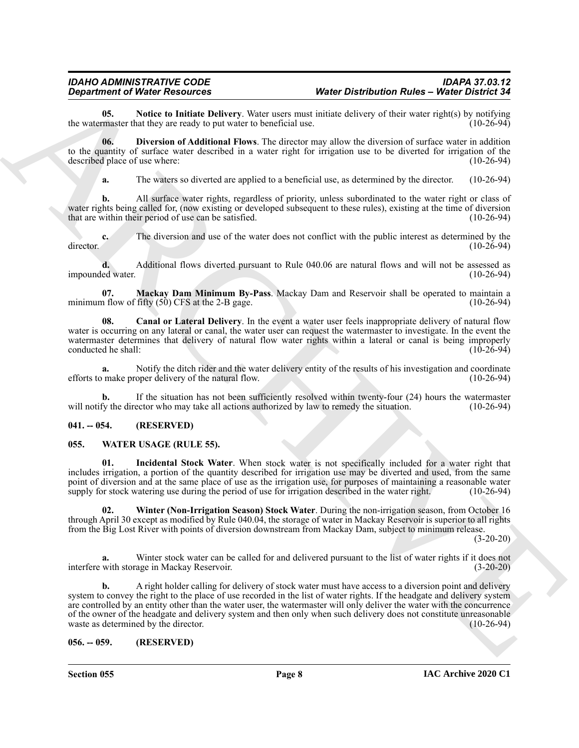<span id="page-7-6"></span>**05.** Notice to Initiate Delivery. Water users must initiate delivery of their water right(s) by notifying master that they are ready to put water to beneficial use. (10-26-94) the watermaster that they are ready to put water to beneficial use.

**06. Diversion of Additional Flows**. The director may allow the diversion of surface water in addition to the quantity of surface water described in a water right for irrigation use to be diverted for irrigation of the described place of use where: (10-26-94)

<span id="page-7-4"></span>**a.** The waters so diverted are applied to a beneficial use, as determined by the director. (10-26-94)

**b.** All surface water rights, regardless of priority, unless subordinated to the water right or class of water rights being called for, (now existing or developed subsequent to these rules), existing at the time of diversion that are within their period of use can be satisfied. (10-26-94)

**c.** The diversion and use of the water does not conflict with the public interest as determined by the director. (10-26-94)

**d.** Additional flows diverted pursuant to Rule 040.06 are natural flows and will not be assessed as ed water. (10-26-94) impounded water.

<span id="page-7-5"></span>**07. Mackay Dam Minimum By-Pass**. Mackay Dam and Reservoir shall be operated to maintain a minimum flow of fifty  $(50)$  CFS at the 2-B gage.  $(10-26-94)$ 

<span id="page-7-3"></span>**08. Canal or Lateral Delivery**. In the event a water user feels inappropriate delivery of natural flow water is occurring on any lateral or canal, the water user can request the watermaster to investigate. In the event the watermaster determines that delivery of natural flow water rights within a lateral or canal is being improperly<br>conducted he shall: (10-26-94) conducted he shall:

**a.** Notify the ditch rider and the water delivery entity of the results of his investigation and coordinate make proper delivery of the natural flow. (10-26-94) efforts to make proper delivery of the natural flow.

**b.** If the situation has not been sufficiently resolved within twenty-four (24) hours the watermaster will notify the director who may take all actions authorized by law to remedy the situation. (10-26-94)

### <span id="page-7-0"></span>**041. -- 054. (RESERVED)**

### <span id="page-7-7"></span><span id="page-7-1"></span>**055. WATER USAGE (RULE 55).**

<span id="page-7-8"></span>**01. Incidental Stock Water**. When stock water is not specifically included for a water right that includes irrigation, a portion of the quantity described for irrigation use may be diverted and used, from the same point of diversion and at the same place of use as the irrigation use, for purposes of maintaining a reasonable water supply for stock watering use during the period of use for irrigation described in the water right. (10-26-94)

<span id="page-7-9"></span>**02. Winter (Non-Irrigation Season) Stock Water**. During the non-irrigation season, from October 16 through April 30 except as modified by Rule 040.04, the storage of water in Mackay Reservoir is superior to all rights from the Big Lost River with points of diversion downstream from Mackay Dam, subject to minimum release.

 $(3-20-20)$ 

**a.** Winter stock water can be called for and delivered pursuant to the list of water rights if it does not interfere with storage in Mackay Reservoir. (3-20-20)

**Department of Nincoln Desire and Section 1986** Ware the state Distribution Rules - Weise District 2.<br>
Are valid that the state behind the plane which use a main initial control of the state distribution Rules - Weise Dis **b.** A right holder calling for delivery of stock water must have access to a diversion point and delivery system to convey the right to the place of use recorded in the list of water rights. If the headgate and delivery system are controlled by an entity other than the water user, the watermaster will only deliver the water with the concurrence of the owner of the headgate and delivery system and then only when such delivery does not constitute unreasonable waste as determined by the director. (10-26-94) waste as determined by the director.

### <span id="page-7-2"></span>**056. -- 059. (RESERVED)**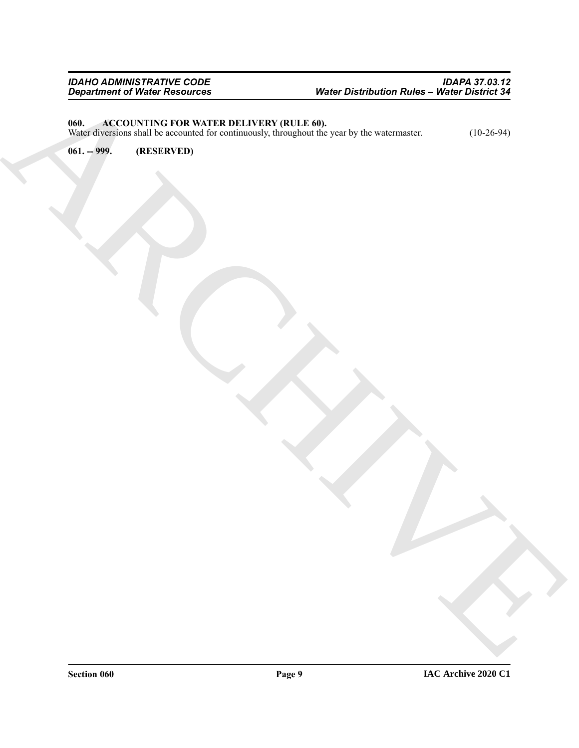### *IDAHO ADMINISTRATIVE CODE IDAPA 37.03.12 Department of Water Resources Water Distribution Rules – Water District 34*

### <span id="page-8-2"></span><span id="page-8-0"></span>**060. ACCOUNTING FOR WATER DELIVERY (RULE 60).**

Department of Wards Presidence<br>
Wards Concernstructure (March 2004)<br>
Wards Concernstructure (March 2004)<br>
Wards Concernstructure (March 2004)<br>
Wards Concernstructure (March 2004)<br>

Wards Concernstructure (March 2004)<br> Water diversions shall be accounted for continuously, throughout the year by the watermaster. (10-26-94)

<span id="page-8-1"></span>**061. -- 999. (RESERVED)**